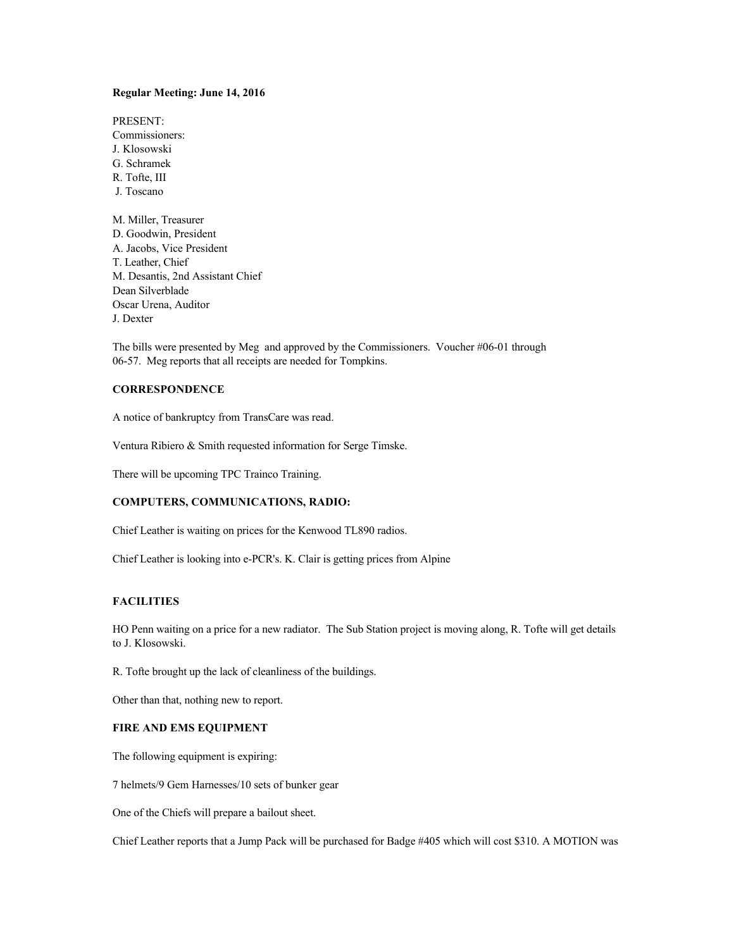## **Regular Meeting: June 14, 2016**

PRESENT: Commissioners: J. Klosowski G. Schramek R. Tofte, III J. Toscano M. Miller, Treasurer D. Goodwin, President A. Jacobs, Vice President T. Leather, Chief M. Desantis, 2nd Assistant Chief Dean Silverblade Oscar Urena, Auditor J. Dexter

The bills were presented by Meg and approved by the Commissioners. Voucher #06-01 through 06-57. Meg reports that all receipts are needed for Tompkins.

# **CORRESPONDENCE**

A notice of bankruptcy from TransCare was read.

Ventura Ribiero & Smith requested information for Serge Timske.

There will be upcoming TPC Trainco Training.

### **COMPUTERS, COMMUNICATIONS, RADIO:**

Chief Leather is waiting on prices for the Kenwood TL890 radios.

Chief Leather is looking into e-PCR's. K. Clair is getting prices from Alpine

# **FACILITIES**

HO Penn waiting on a price for a new radiator. The Sub Station project is moving along, R. Tofte will get details to J. Klosowski.

R. Tofte brought up the lack of cleanliness of the buildings.

Other than that, nothing new to report.

#### **FIRE AND EMS EQUIPMENT**

The following equipment is expiring:

7 helmets/9 Gem Harnesses/10 sets of bunker gear

One of the Chiefs will prepare a bailout sheet.

Chief Leather reports that a Jump Pack will be purchased for Badge #405 which will cost \$310. A MOTION was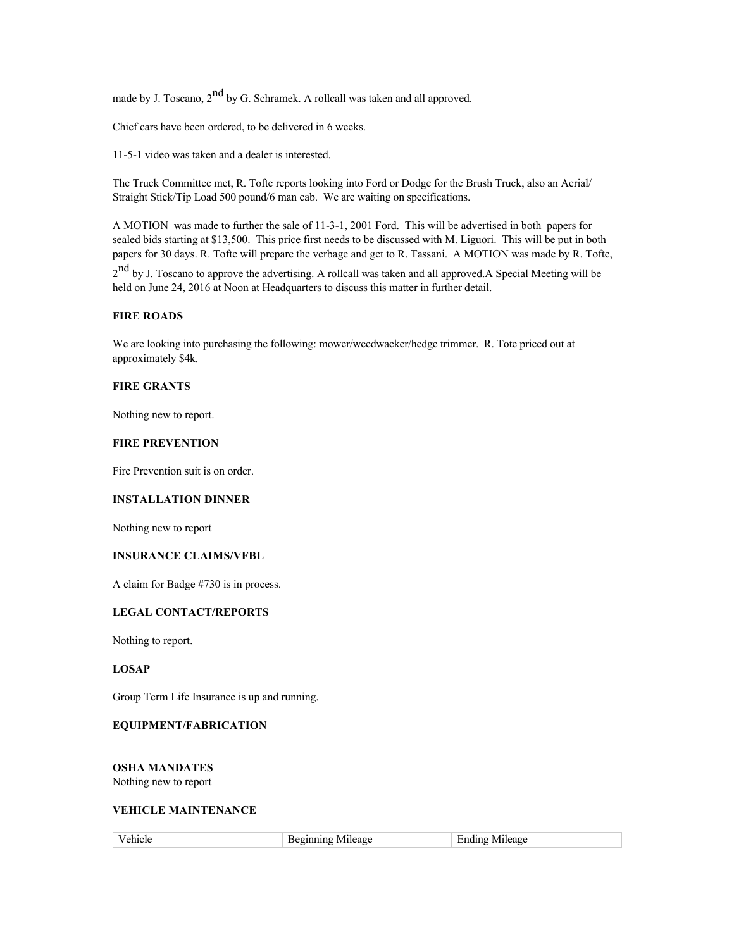made by J. Toscano,  $2^{nd}$  by G. Schramek. A rollcall was taken and all approved.

Chief cars have been ordered, to be delivered in 6 weeks.

11-5-1 video was taken and a dealer is interested.

The Truck Committee met, R. Tofte reports looking into Ford or Dodge for the Brush Truck, also an Aerial/ Straight Stick/Tip Load 500 pound/6 man cab. We are waiting on specifications.

A MOTION was made to further the sale of 11-3-1, 2001 Ford. This will be advertised in both papers for sealed bids starting at \$13,500. This price first needs to be discussed with M. Liguori. This will be put in both papers for 30 days. R. Tofte will prepare the verbage and get to R. Tassani. A MOTION was made by R. Tofte,

2<sup>nd</sup> by J. Toscano to approve the advertising. A rollcall was taken and all approved.A Special Meeting will be held on June 24, 2016 at Noon at Headquarters to discuss this matter in further detail.

# **FIRE ROADS**

We are looking into purchasing the following: mower/weedwacker/hedge trimmer. R. Tote priced out at approximately \$4k.

#### **FIRE GRANTS**

Nothing new to report.

# **FIRE PREVENTION**

Fire Prevention suit is on order.

### **INSTALLATION DINNER**

Nothing new to report

# **INSURANCE CLAIMS/VFBL**

A claim for Badge #730 is in process.

# **LEGAL CONTACT/REPORTS**

Nothing to report.

# **LOSAP**

Group Term Life Insurance is up and running.

### **EQUIPMENT/FABRICATION**

**OSHA MANDATES** Nothing new to report

### **VEHICLE MAINTENANCE**

| .<br>110 TE<br>. | _____ |
|------------------|-------|
|                  |       |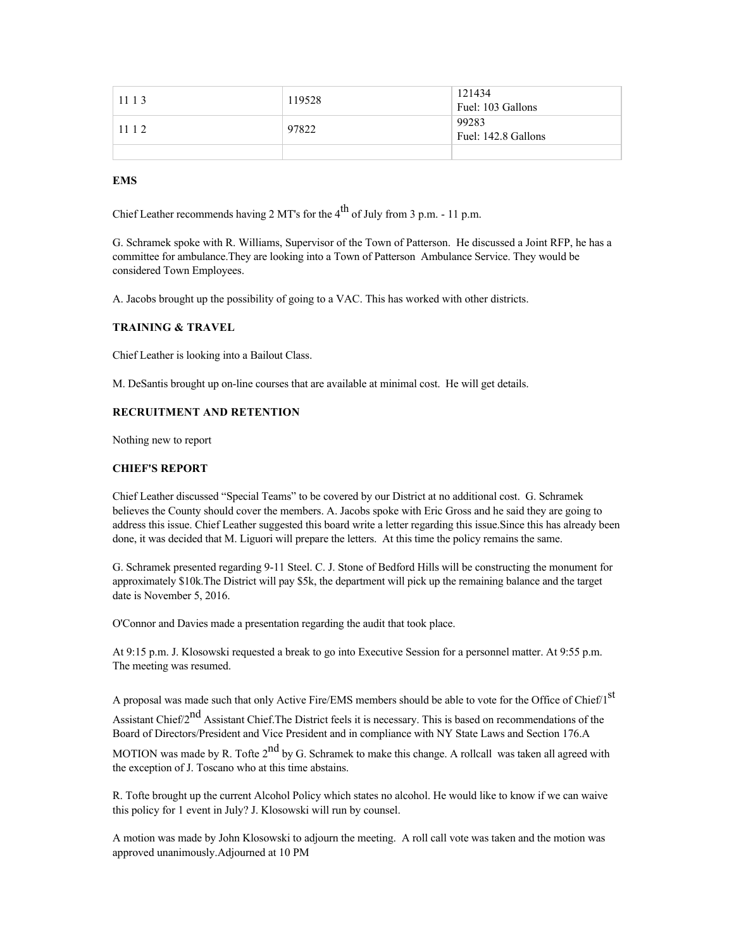| 11 1 3 | 119528 | 121434              |
|--------|--------|---------------------|
|        |        | Fuel: 103 Gallons   |
|        |        | 99283               |
| 1112   | 97822  | Fuel: 142.8 Gallons |
|        |        |                     |

#### **EMS**

Chief Leather recommends having 2 MT's for the  $4<sup>th</sup>$  of July from 3 p.m. - 11 p.m.

G. Schramek spoke with R. Williams, Supervisor of the Town of Patterson. He discussed a Joint RFP, he has a committee for ambulance.They are looking into a Town of Patterson Ambulance Service. They would be considered Town Employees.

A. Jacobs brought up the possibility of going to a VAC. This has worked with other districts.

#### **TRAINING & TRAVEL**

Chief Leather is looking into a Bailout Class.

M. DeSantis brought up on-line courses that are available at minimal cost. He will get details.

# **RECRUITMENT AND RETENTION**

Nothing new to report

# **CHIEF'S REPORT**

Chief Leather discussed "Special Teams" to be covered by our District at no additional cost. G. Schramek believes the County should cover the members. A. Jacobs spoke with Eric Gross and he said they are going to address this issue. Chief Leather suggested this board write a letter regarding this issue.Since this has already been done, it was decided that M. Liguori will prepare the letters. At this time the policy remains the same.

G. Schramek presented regarding 9-11 Steel. C. J. Stone of Bedford Hills will be constructing the monument for approximately \$10k.The District will pay \$5k, the department will pick up the remaining balance and the target date is November 5, 2016.

O'Connor and Davies made a presentation regarding the audit that took place.

At 9:15 p.m. J. Klosowski requested a break to go into Executive Session for a personnel matter. At 9:55 p.m. The meeting was resumed.

A proposal was made such that only Active Fire/EMS members should be able to vote for the Office of Chief/1<sup>st</sup>

Assistant Chief/2<sup>nd</sup> Assistant Chief. The District feels it is necessary. This is based on recommendations of the Board of Directors/President and Vice President and in compliance with NY State Laws and Section 176.A

MOTION was made by R. Tofte  $2<sup>nd</sup>$  by G. Schramek to make this change. A rollcall was taken all agreed with the exception of J. Toscano who at this time abstains.

R. Tofte brought up the current Alcohol Policy which states no alcohol. He would like to know if we can waive this policy for 1 event in July? J. Klosowski will run by counsel.

A motion was made by John Klosowski to adjourn the meeting. A roll call vote was taken and the motion was approved unanimously.Adjourned at 10 PM